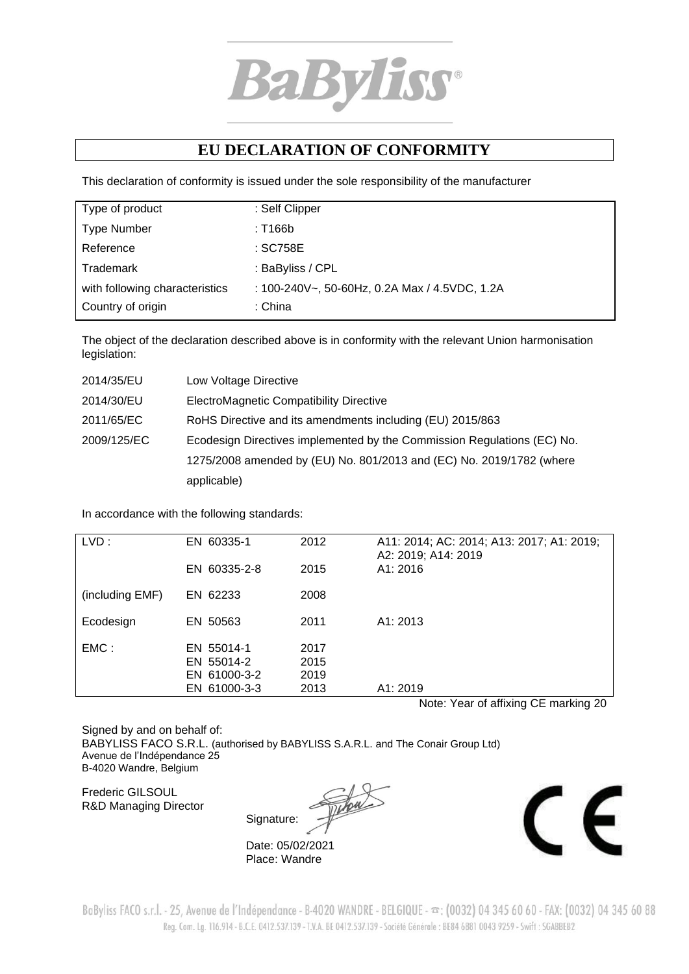

## **EU DECLARATION OF CONFORMITY**

This declaration of conformity is issued under the sole responsibility of the manufacturer

| Type of product                | : Self Clipper                                |
|--------------------------------|-----------------------------------------------|
|                                |                                               |
| <b>Type Number</b>             | : T166b                                       |
| Reference                      | : SC758E                                      |
| Trademark                      | : BaByliss / CPL                              |
| with following characteristics | : 100-240V~, 50-60Hz, 0.2A Max / 4.5VDC, 1.2A |
| Country of origin              | :China                                        |

The object of the declaration described above is in conformity with the relevant Union harmonisation legislation:

| 2014/35/EU  | Low Voltage Directive                                                   |
|-------------|-------------------------------------------------------------------------|
| 2014/30/EU  | ElectroMagnetic Compatibility Directive                                 |
| 2011/65/EC  | RoHS Directive and its amendments including (EU) 2015/863               |
| 2009/125/EC | Ecodesign Directives implemented by the Commission Regulations (EC) No. |
|             | 1275/2008 amended by (EU) No. 801/2013 and (EC) No. 2019/1782 (where    |
|             | applicable)                                                             |

In accordance with the following standards:

| LVD:            | EN 60335-1<br>EN 60335-2-8                               | 2012<br>2015                 | A11: 2014; AC: 2014; A13: 2017; A1: 2019;<br>A2: 2019; A14: 2019<br>A1:2016 |
|-----------------|----------------------------------------------------------|------------------------------|-----------------------------------------------------------------------------|
|                 |                                                          |                              |                                                                             |
| (including EMF) | EN 62233                                                 | 2008                         |                                                                             |
| Ecodesign       | EN 50563                                                 | 2011                         | A1: 2013                                                                    |
| EMC:            | EN 55014-1<br>EN 55014-2<br>EN 61000-3-2<br>EN 61000-3-3 | 2017<br>2015<br>2019<br>2013 | A1: 2019                                                                    |

Note: Year of affixing CE marking 20

Signed by and on behalf of: BABYLISS FACO S.R.L. (authorised by BABYLISS S.A.R.L. and The Conair Group Ltd) Avenue de l'Indépendance 25 B-4020 Wandre, Belgium

Frederic GILSOUL R&D Managing Director

Signature:

Date: 05/02/2021 Place: Wandre



BaByliss FACO s.r.l. - 25, Avenue de l'Indépendance - B-4020 WANDRE - BELGIQUE -  $\pi$ : (0032) 04 345 60 60 - FAX: (0032) 04 345 60 88 Reg. Com. Lg. 116.914 - B.C.E. 0412.537.139 - T.V.A. BE 0412.537.139 - Société Générale : BE84 6881 0043 9259 - Swift : SGABBEB2